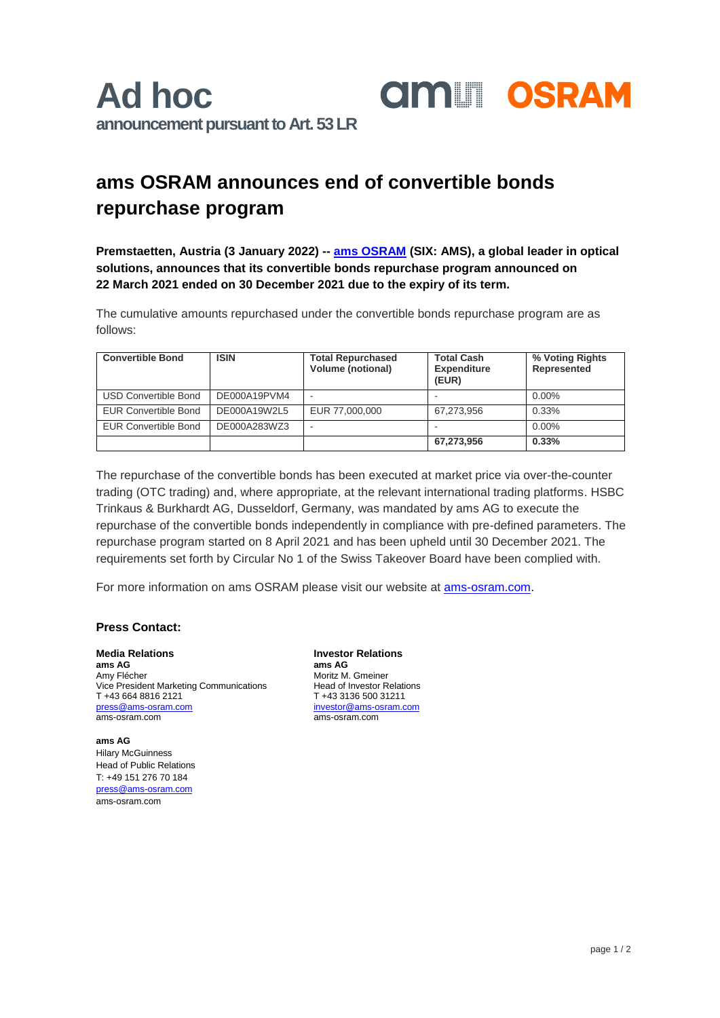## **ams OSRAM announces end of convertible bonds repurchase program**

**Premstaetten, Austria (3 January 2022) -- [ams OSRAM](https://ams-osram.com/) (SIX: AMS), a global leader in optical solutions, announces that its convertible bonds repurchase program announced on 22 March 2021 ended on 30 December 2021 due to the expiry of its term.** 

**amill OSRAM** 

The cumulative amounts repurchased under the convertible bonds repurchase program are as follows:

| <b>Convertible Bond</b>     | <b>ISIN</b>  | <b>Total Repurchased</b><br><b>Volume (notional)</b> | <b>Total Cash</b><br><b>Expenditure</b><br>(EUR) | % Voting Rights<br>Represented |
|-----------------------------|--------------|------------------------------------------------------|--------------------------------------------------|--------------------------------|
| <b>USD Convertible Bond</b> | DE000A19PVM4 | $\overline{\phantom{a}}$                             |                                                  | $0.00\%$                       |
| <b>EUR Convertible Bond</b> | DE000A19W2L5 | EUR 77,000,000                                       | 67.273.956                                       | 0.33%                          |
| <b>EUR Convertible Bond</b> | DE000A283WZ3 | $\overline{\phantom{a}}$                             |                                                  | $0.00\%$                       |
|                             |              |                                                      | 67,273,956                                       | 0.33%                          |

The repurchase of the convertible bonds has been executed at market price via over-the-counter trading (OTC trading) and, where appropriate, at the relevant international trading platforms. HSBC Trinkaus & Burkhardt AG, Dusseldorf, Germany, was mandated by ams AG to execute the repurchase of the convertible bonds independently in compliance with pre-defined parameters. The repurchase program started on 8 April 2021 and has been upheld until 30 December 2021. The requirements set forth by Circular No 1 of the Swiss Takeover Board have been complied with.

For more information on ams OSRAM please visit our website at [ams-osram.com.](https://ams-osram.com/)

## **Press Contact:**

**Media Relations Investor Relations ams AG** ams **AG** ams **AG** ams **AG** ams **AG** ams **AG** ams **AG** ams **AG** ams **AG** Vice President Marketing Communications<br>T +43 664 8816 2121  $T +43.664.8816.2121$ <br>  $T +43.3136.500.31211$ <br>  $T +43.3136.500.31211$ <br>  $T +43.3136.500.31211$ ams-osram.com ams-osram.com

**ams AG Hilary McGuinness** Head of Public Relations T: +49 151 276 70 184 [press@ams-osram.com](mailto:press@ams-osram.com) ams-osram.com

Moritz M. Gmeiner<br>Head of Investor Relations [press@ams-osram.com](mailto:press@ams-osram.com) [investor@ams-osram.com](mailto:investor@ams-osram.com)